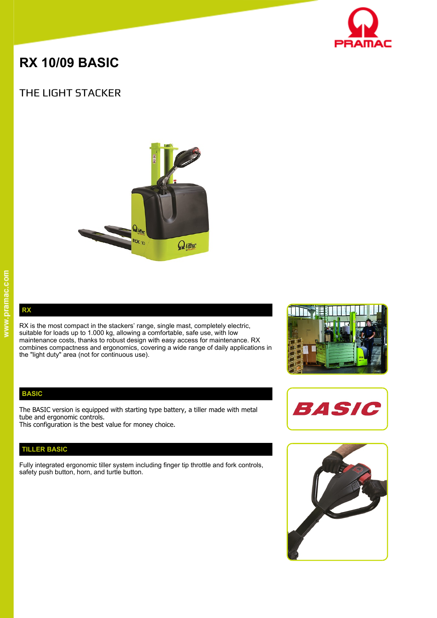

# **RX 10/09 BASIC**

# THE LIGHT STACKER



**RX** 

RX is the most compact in the stackers' range, single mast, completely electric, suitable for loads up to 1.000 kg, allowing a comfortable, safe use, with low maintenance costs, thanks to robust design with easy access for maintenance. RX combines compactness and ergonomics, covering a wide range of daily applications in the "light duty" area (not for continuous use).

# **BASIC**

The BASIC version is equipped with starting type battery, a tiller made with metal tube and ergonomic controls.

This configuration is the best value for money choice.

# **TILLER BASIC**

Fully integrated ergonomic tiller system including finger tip throttle and fork controls, safety push button, horn, and turtle button.





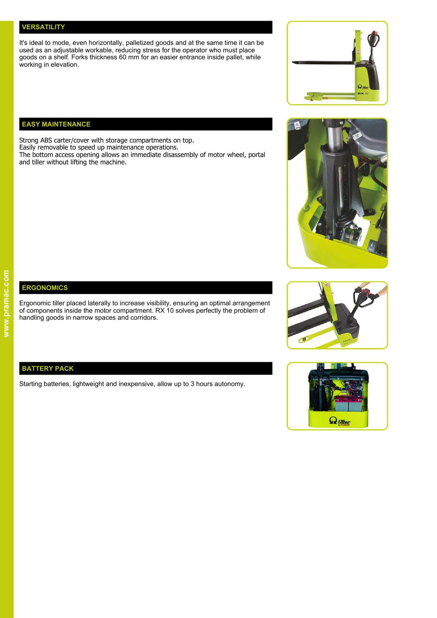#### **VERSATILITY**

It's ideal to mode, even horizontally, palletized goods and at the same time it can be used as an adjustable workable, reducing stress for the operator who must place goods on a shelf. Forks thickness 60 mm for an easier entrance inside pallet, while working in elevation.

# **EASY MAINTENANCE**

Strong ABS carter/cover with storage compartments on top. Easily removable to speed up maintenance operations.

The bottom access opening allows an immediate disassembly of motor wheel, portal and tiller without lifting the machine.





# **ERGONOMICS**

Ergonomic tiller placed laterally to increase visibility, ensuring an optimal arrangement of components inside the motor compartment. RX 10 solves perfectly the problem of handling goods in narrow spaces and corridors.



# **BATTERY PACK**

Starting batteries, lightweight and inexpensive, allow up to 3 hours autonomy.

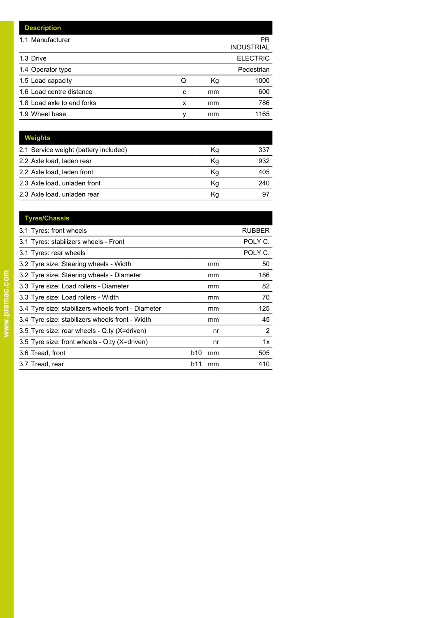| <b>Description</b>         |   |    |                         |
|----------------------------|---|----|-------------------------|
| 1.1 Manufacturer           |   |    | PR<br><b>INDUSTRIAL</b> |
| 1.3 Drive                  |   |    | <b>ELECTRIC</b>         |
| 1.4 Operator type          |   |    | Pedestrian              |
| 1.5 Load capacity          | Q | Кg | 1000                    |
| 1.6 Load centre distance   | c | mm | 600                     |
| 1.8 Load axle to end forks | x | mm | 786                     |
| 1.9 Wheel base             | ٧ | mm | 1165                    |

| Weights                               |    |     |
|---------------------------------------|----|-----|
| 2.1 Service weight (battery included) | Κg | 337 |
| 2.2 Axle load, laden rear             | Kg | 932 |
| 2.2 Axle load, laden front            | Κq | 405 |
| 2.3 Axle load, unladen front          | Κq | 240 |
| 2.3 Axle load, unladen rear           | Κq | 97  |

| <b>Tyres/Chassis</b>                               |                  |               |
|----------------------------------------------------|------------------|---------------|
| 3.1 Tyres: front wheels                            |                  | <b>RUBBER</b> |
| 3.1 Tyres: stabilizers wheels - Front              |                  | POLY C.       |
| 3.1 Tyres: rear wheels                             |                  | POLY C.       |
| 3.2 Tyre size: Steering wheels - Width             | mm               | 50            |
| 3.2 Tyre size: Steering wheels - Diameter          | mm               | 186           |
| 3.3 Tyre size: Load rollers - Diameter             | mm               | 82            |
| 3.3 Tyre size: Load rollers - Width                | mm               | 70            |
| 3.4 Tyre size: stabilizers wheels front - Diameter | mm               | 125           |
| 3.4 Tyre size: stabilizers wheels front - Width    | mm               | 45            |
| 3.5 Tyre size: rear wheels - Q.ty (X=driven)       | nr               | 2             |
| 3.5 Tyre size: front wheels - Q ty (X=driven)      | nr               | 1x            |
| 3.6 Tread, front                                   | b10<br>mm        | 505           |
| 3.7 Tread, rear                                    | <b>b11</b><br>mm | 410           |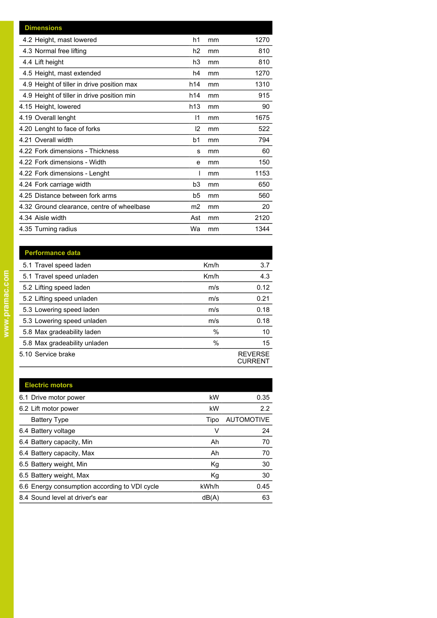| <b>Dimensions</b>                          |                |    |      |
|--------------------------------------------|----------------|----|------|
| 4.2 Height, mast lowered                   | h1             | mm | 1270 |
| 4.3 Normal free lifting                    | h <sub>2</sub> | mm | 810  |
| 4.4 Lift height                            | h3             | mm | 810  |
| 4.5 Height, mast extended                  | h4             | mm | 1270 |
| 4.9 Height of tiller in drive position max | h14            | mm | 1310 |
| 4.9 Height of tiller in drive position min | h14            | mm | 915  |
| 4.15 Height, lowered                       | h13            | mm | 90   |
| 4.19 Overall lenght                        | 1              | mm | 1675 |
| 4.20 Lenght to face of forks               | 12             | mm | 522  |
| 4.21 Overall width                         | b <sub>1</sub> | mm | 794  |
| 4.22 Fork dimensions - Thickness           | s              | mm | 60   |
| 4.22 Fork dimensions - Width               | e              | mm | 150  |
| 4.22 Fork dimensions - Lenght              |                | mm | 1153 |
| 4.24 Fork carriage width                   | b <sub>3</sub> | mm | 650  |
| 4.25 Distance between fork arms            | b5             | mm | 560  |
| 4.32 Ground clearance, centre of wheelbase | m <sub>2</sub> | mm | 20   |
| 4.34 Aisle width                           | Ast            | mm | 2120 |
| 4.35 Turning radius                        | Wa             | mm | 1344 |

Km/h

 $Km/h$ 

 $m/s$ 

 $\mathsf{m}/\mathsf{s}$ 

 $m/s$ 

 $m/s$  $\overline{\frac{9}{6}}$ 

 $\%$ 

 $3.7$ 

 $\overline{4.3}$  $0.12$ 

 $0.21$ 

 $0.18$ 

 $0.18$ 

 $\overline{10}$ 

15

REVERSE<br>CURRENT

| <b>Performance data</b>      |
|------------------------------|
| 5.1 Travel speed laden       |
| 5.1 Travel speed unladen     |
| 5.2 Lifting speed laden      |
| 5.2 Lifting speed unladen    |
| 5.3 Lowering speed laden     |
| 5.3 Lowering speed unladen   |
| 5.8 Max gradeability laden   |
| 5.8 Max gradeability unladen |
| 5.10 Service brake           |
|                              |

| kW    | 0.35              |
|-------|-------------------|
| kW    | 2.2               |
| Tipo  | <b>AUTOMOTIVE</b> |
| ٧     | 24                |
| Ah    | 70                |
| Ah    | 70                |
| Kg    | 30                |
| Kg    | 30                |
| kWh/h | 0.45              |
| dB(A) | 63                |
|       |                   |